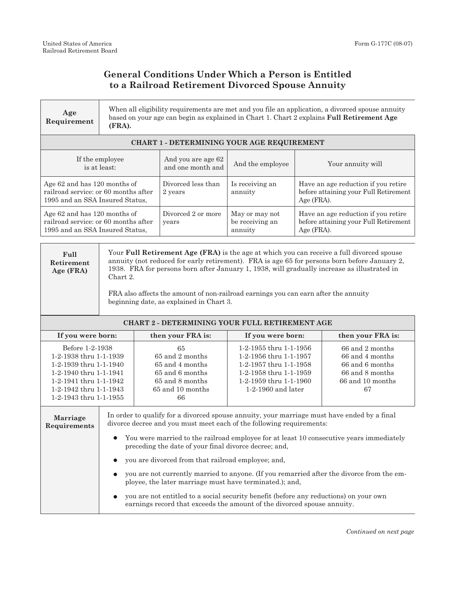## **General Conditions Under Which a Person is Entitled to a Railroad Retirement Divorced Spouse Annuity**

| Age<br>Requirement                                                                                                                                                          | When all eligibility requirements are met and you file an application, a divorced spouse annuity<br>based on your age can begin as explained in Chart 1. Chart 2 explains Full Retirement Age<br>(FRA).                                                                                                                                                                                                                                                                                                                                                                                                                                                                                                                |                                                                                                          |                                                                                                                                                        |                                                                                            |                                                                                                        |  |  |  |
|-----------------------------------------------------------------------------------------------------------------------------------------------------------------------------|------------------------------------------------------------------------------------------------------------------------------------------------------------------------------------------------------------------------------------------------------------------------------------------------------------------------------------------------------------------------------------------------------------------------------------------------------------------------------------------------------------------------------------------------------------------------------------------------------------------------------------------------------------------------------------------------------------------------|----------------------------------------------------------------------------------------------------------|--------------------------------------------------------------------------------------------------------------------------------------------------------|--------------------------------------------------------------------------------------------|--------------------------------------------------------------------------------------------------------|--|--|--|
| CHART 1 - DETERMINING YOUR AGE REQUIREMENT                                                                                                                                  |                                                                                                                                                                                                                                                                                                                                                                                                                                                                                                                                                                                                                                                                                                                        |                                                                                                          |                                                                                                                                                        |                                                                                            |                                                                                                        |  |  |  |
| If the employee<br>is at least:                                                                                                                                             |                                                                                                                                                                                                                                                                                                                                                                                                                                                                                                                                                                                                                                                                                                                        | And you are age 62<br>and one month and                                                                  | And the employee                                                                                                                                       | Your annuity will                                                                          |                                                                                                        |  |  |  |
| Age 62 and has 120 months of<br>railroad service: or 60 months after<br>1995 and an SSA Insured Status,                                                                     |                                                                                                                                                                                                                                                                                                                                                                                                                                                                                                                                                                                                                                                                                                                        | Divorced less than<br>2 years                                                                            | Is receiving an<br>annuity                                                                                                                             | Have an age reduction if you retire<br>before attaining your Full Retirement<br>Age (FRA). |                                                                                                        |  |  |  |
| Age 62 and has 120 months of<br>railroad service: or 60 months after<br>1995 and an SSA Insured Status,                                                                     |                                                                                                                                                                                                                                                                                                                                                                                                                                                                                                                                                                                                                                                                                                                        | Divorced 2 or more<br>years                                                                              | May or may not<br>be receiving an<br>annuity                                                                                                           | Have an age reduction if you retire<br>before attaining your Full Retirement<br>Age (FRA). |                                                                                                        |  |  |  |
| Full<br>Retirement<br>Age (FRA)                                                                                                                                             | Your Full Retirement Age (FRA) is the age at which you can receive a full divorced spouse<br>annuity (not reduced for early retirement). FRA is age 65 for persons born before January 2,<br>1938. FRA for persons born after January 1, 1938, will gradually increase as illustrated in<br>Chart 2.<br>FRA also affects the amount of non-railroad earnings you can earn after the annuity<br>beginning date, as explained in Chart 3.                                                                                                                                                                                                                                                                                |                                                                                                          |                                                                                                                                                        |                                                                                            |                                                                                                        |  |  |  |
| <b>CHART 2 - DETERMINING YOUR FULL RETIREMENT AGE</b>                                                                                                                       |                                                                                                                                                                                                                                                                                                                                                                                                                                                                                                                                                                                                                                                                                                                        |                                                                                                          |                                                                                                                                                        |                                                                                            |                                                                                                        |  |  |  |
| If you were born:                                                                                                                                                           |                                                                                                                                                                                                                                                                                                                                                                                                                                                                                                                                                                                                                                                                                                                        | then your FRA is:                                                                                        | If you were born:                                                                                                                                      |                                                                                            | then your FRA is:                                                                                      |  |  |  |
| Before 1-2-1938<br>1-2-1938 thru 1-1-1939<br>1-2-1939 thru 1-1-1940<br>1-2-1940 thru 1-1-1941<br>1-2-1941 thru 1-1-1942<br>1-2-1942 thru 1-1-1943<br>1-2-1943 thru 1-1-1955 |                                                                                                                                                                                                                                                                                                                                                                                                                                                                                                                                                                                                                                                                                                                        | 65<br>65 and 2 months<br>65 and 4 months<br>65 and 6 months<br>65 and 8 months<br>65 and 10 months<br>66 | 1-2-1955 thru 1-1-1956<br>1-2-1956 thru 1-1-1957<br>1-2-1957 thru 1-1-1958<br>1-2-1958 thru 1-1-1959<br>1-2-1959 thru 1-1-1960<br>$1-2-1960$ and later |                                                                                            | $66$ and $2$ months<br>66 and 4 months<br>66 and 6 months<br>66 and 8 months<br>66 and 10 months<br>67 |  |  |  |
| Marriage<br>Requirements                                                                                                                                                    | In order to qualify for a divorced spouse annuity, your marriage must have ended by a final<br>divorce decree and you must meet each of the following requirements:<br>You were married to the railroad employee for at least 10 consecutive years immediately<br>$\bullet$<br>preceding the date of your final divorce decree; and,<br>you are divorced from that railroad employee; and,<br>you are not currently married to anyone. (If you remarried after the divorce from the em-<br>ployee, the later marriage must have terminated.); and,<br>you are not entitled to a social security benefit (before any reductions) on your own<br>earnings record that exceeds the amount of the divorced spouse annuity. |                                                                                                          |                                                                                                                                                        |                                                                                            |                                                                                                        |  |  |  |